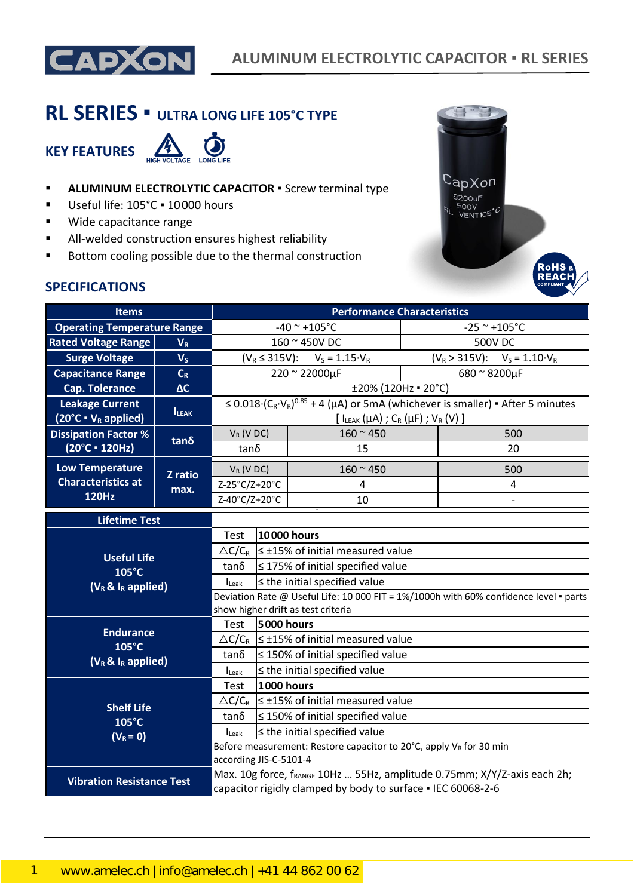

# **RL SERIES ▪ ULTRA LONG LIFE 105°C TYPE**

**KEY FEATURES**



- **E** ALUMINUM ELECTROLYTIC CAPACITOR **·** Screw terminal type
- Useful life: 105°C · 10000 hours
- Wide capacitance range
- All-welded construction ensures highest reliability
- Bottom cooling possible due to the thermal construction



### **SPECIFICATIONS**

| <b>Items</b>                                                |              | <b>Performance Characteristics</b>                                                                                                       |                                                           |                                                                     |                |                                                                                                              |
|-------------------------------------------------------------|--------------|------------------------------------------------------------------------------------------------------------------------------------------|-----------------------------------------------------------|---------------------------------------------------------------------|----------------|--------------------------------------------------------------------------------------------------------------|
| <b>Operating Temperature Range</b>                          |              |                                                                                                                                          |                                                           | $-40$ ~ +105°C                                                      |                | $-25$ ~ +105°C                                                                                               |
| <b>Rated Voltage Range</b>                                  | $V_R$        |                                                                                                                                          |                                                           | 160 ~ 450V DC                                                       | <b>500V DC</b> |                                                                                                              |
| <b>Surge Voltage</b>                                        | $V_S$        | $(V_R \le 315V)$ : $V_S = 1.15 \cdot V_R$                                                                                                |                                                           |                                                                     |                | $(V_R > 315V)$ : $V_S = 1.10 V_R$                                                                            |
| <b>Capacitance Range</b>                                    | $C_R$        |                                                                                                                                          |                                                           | 220 ~ 22000µF                                                       |                | 680 ~ 8200µF                                                                                                 |
| <b>Cap. Tolerance</b>                                       | $\Delta C$   |                                                                                                                                          |                                                           | ±20% (120Hz = 20°C)                                                 |                |                                                                                                              |
| <b>Leakage Current</b><br>$(20^{\circ}C \cdot V_R$ applied) | <b>ILEAK</b> |                                                                                                                                          |                                                           | $[I_{LEAK}(\mu A)$ ; C <sub>R</sub> ( $\mu$ F); V <sub>R</sub> (V)] |                | $\leq 0.018 \cdot (C_R \cdot V_R)^{0.85} + 4 \cdot ( \mu A)$ or 5mA (whichever is smaller) • After 5 minutes |
| <b>Dissipation Factor %</b>                                 |              | $V_R$ (V DC)                                                                                                                             |                                                           | $160 - 450$                                                         |                | 500                                                                                                          |
| $(20^{\circ}C \cdot 120Hz)$                                 | $tan\delta$  | $tan\delta$                                                                                                                              |                                                           | 15                                                                  |                | 20                                                                                                           |
| <b>Low Temperature</b>                                      | Z ratio      | $V_R$ (V DC)                                                                                                                             |                                                           | $160 - 450$                                                         |                | 500                                                                                                          |
| <b>Characteristics at</b>                                   | max.         | Z-25°C/Z+20°C                                                                                                                            |                                                           | 4                                                                   |                | 4                                                                                                            |
| <b>120Hz</b>                                                |              | Z-40°C/Z+20°C                                                                                                                            | 10                                                        |                                                                     |                |                                                                                                              |
| <b>Lifetime Test</b>                                        |              |                                                                                                                                          |                                                           |                                                                     |                |                                                                                                              |
|                                                             |              | Test                                                                                                                                     |                                                           | 10000 hours                                                         |                |                                                                                                              |
| <b>Useful Life</b>                                          |              |                                                                                                                                          | $\triangle C/C_R \leq \pm 15\%$ of initial measured value |                                                                     |                |                                                                                                              |
| 105°C                                                       |              | $tan\delta$                                                                                                                              |                                                           | $\leq$ 175% of initial specified value                              |                |                                                                                                              |
| $(V_R \& I_R$ applied)                                      |              | $\leq$ the initial specified value<br>$I_{\text{Leak}}$                                                                                  |                                                           |                                                                     |                |                                                                                                              |
|                                                             |              | Deviation Rate @ Useful Life: 10 000 FIT = 1%/1000h with 60% confidence level · parts<br>show higher drift as test criteria              |                                                           |                                                                     |                |                                                                                                              |
|                                                             |              | Test                                                                                                                                     | 5000 hours                                                |                                                                     |                |                                                                                                              |
| <b>Endurance</b>                                            |              |                                                                                                                                          |                                                           | $\triangle C/C_R$ $\leq$ ±15% of initial measured value             |                |                                                                                                              |
| 105°C                                                       |              | tan δ                                                                                                                                    |                                                           | $\leq$ 150% of initial specified value                              |                |                                                                                                              |
| $(V_R \& I_R$ applied)                                      |              | $I_{\text{Leak}}$                                                                                                                        |                                                           | $\leq$ the initial specified value                                  |                |                                                                                                              |
|                                                             |              | Test                                                                                                                                     | 1000 hours                                                |                                                                     |                |                                                                                                              |
|                                                             |              |                                                                                                                                          |                                                           | $\triangle C/C_R$   $\leq$ ±15% of initial measured value           |                |                                                                                                              |
| <b>Shelf Life</b><br>105°C                                  |              | tanδ                                                                                                                                     |                                                           | $\leq$ 150% of initial specified value                              |                |                                                                                                              |
| $(V_R = 0)$                                                 |              | ILeak                                                                                                                                    |                                                           | $\leq$ the initial specified value                                  |                |                                                                                                              |
|                                                             |              | Before measurement: Restore capacitor to 20°C, apply VR for 30 min<br>according JIS-C-5101-4                                             |                                                           |                                                                     |                |                                                                                                              |
| <b>Vibration Resistance Test</b>                            |              | Max. 10g force, fRANGE 10Hz  55Hz, amplitude 0.75mm; X/Y/Z-axis each 2h;<br>capacitor rigidly clamped by body to surface . IEC 60068-2-6 |                                                           |                                                                     |                |                                                                                                              |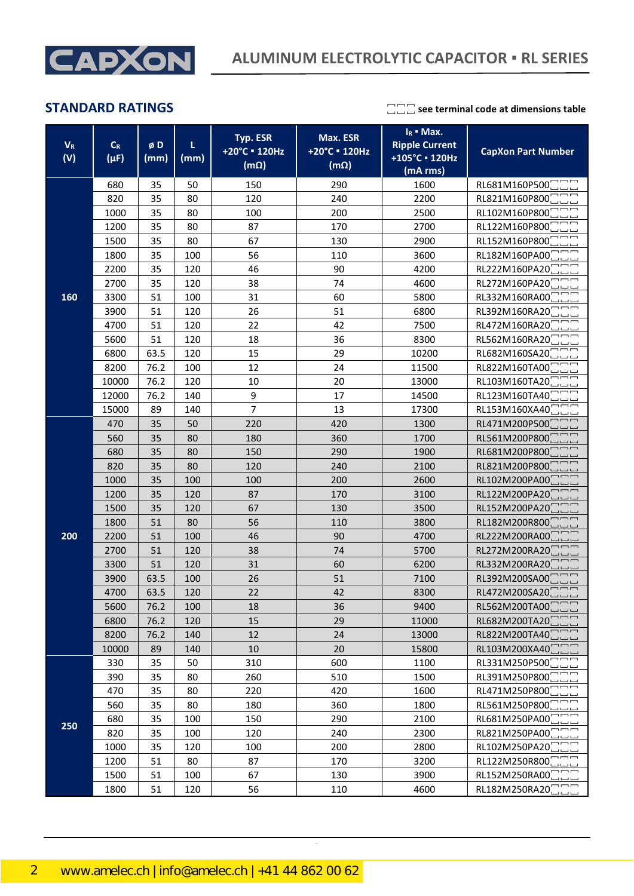

| $V_{R}$<br>(V) | $\mathsf{C}_{\mathsf{R}}$<br>$(\mu F)$ | øD<br>(mm) | L<br>(mm) | Typ. ESR<br>+20°C = 120Hz<br>$(m\Omega)$ | Max. ESR<br>+20°C = 120Hz<br>$(m\Omega)$ | $I_R$ • Max.<br><b>Ripple Current</b><br>+105°C · 120Hz<br>(mA rms) | <b>CapXon Part Number</b> |
|----------------|----------------------------------------|------------|-----------|------------------------------------------|------------------------------------------|---------------------------------------------------------------------|---------------------------|
|                | 680                                    | 35         | 50        | 150                                      | 290                                      | 1600                                                                | RL681M160P500             |
|                | 820                                    | 35         | 80        | 120                                      | 240                                      | 2200                                                                | RL821M160P800             |
|                | 1000                                   | 35         | 80        | 100                                      | 200                                      | 2500                                                                | RL102M160P800             |
|                | 1200                                   | 35         | 80        | 87                                       | 170                                      | 2700                                                                | RL122M160P800             |
|                | 1500                                   | 35         | 80        | 67                                       | 130                                      | 2900                                                                | RL152M160P800             |
|                | 1800                                   | 35         | 100       | 56                                       | 110                                      | 3600                                                                | RL182M160PA00             |
|                | 2200                                   | 35         | 120       | 46                                       | 90                                       | 4200                                                                | RL222M160PA20             |
|                | 2700                                   | 35         | 120       | 38                                       | 74                                       | 4600                                                                | RL272M160PA20             |
| 160            | 3300                                   | 51         | 100       | 31                                       | 60                                       | 5800                                                                | RL332M160RA00             |
|                | 3900                                   | 51         | 120       | 26                                       | 51                                       | 6800                                                                | RL392M160RA20             |
|                | 4700                                   | 51         | 120       | 22                                       | 42                                       | 7500                                                                | RL472M160RA20             |
|                | 5600                                   | 51         | 120       | 18                                       | 36                                       | 8300                                                                | RL562M160RA20             |
|                | 6800                                   | 63.5       | 120       | 15                                       | 29                                       | 10200                                                               | RL682M160SA20             |
|                | 8200                                   | 76.2       | 100       | 12                                       | 24                                       | 11500                                                               | RL822M160TA00             |
|                | 10000                                  | 76.2       | 120       | 10                                       | 20                                       | 13000                                                               | RL103M160TA20             |
|                | 12000                                  | 76.2       | 140       | 9                                        | 17                                       | 14500                                                               | RL123M160TA40             |
|                | 15000                                  | 89         | 140       | $\overline{7}$                           | 13                                       | 17300                                                               | RL153M160XA40             |
|                | 470                                    | 35         | 50        | 220                                      | 420                                      | 1300                                                                | RL471M200P500             |
|                | 560                                    | 35         | 80        | 180                                      | 360                                      | 1700                                                                | RL561M200P800             |
|                | 680                                    | 35         | 80        | 150                                      | 290                                      | 1900                                                                | RL681M200P800             |
|                | 820                                    | 35         | 80        | 120                                      | 240                                      | 2100                                                                | RL821M200P800             |
|                | 1000                                   | 35         | 100       | 100                                      | 200                                      | 2600                                                                | RL102M200PA00             |
|                | 1200                                   | 35         | 120       | 87                                       | 170                                      | 3100                                                                | RL122M200PA20             |
|                | 1500                                   | 35         | 120       | 67                                       | 130                                      | 3500                                                                | RL152M200PA20             |
|                | 1800                                   | 51         | 80        | 56                                       | 110                                      | 3800                                                                | RL182M200R800             |
| 200            | 2200                                   | 51         | 100       | 46                                       | 90                                       | 4700                                                                | RL222M200RA00             |
|                | 2700                                   | 51         | 120       | 38                                       | 74                                       | 5700                                                                | RL272M200RA20             |
|                | 3300                                   | 51         | 120       | 31                                       | 60                                       | 6200                                                                | RL332M200RA20             |
|                | 3900                                   | 63.5       | 100       | 26                                       | 51                                       | 7100                                                                | RL392M200SA00             |
|                | 4700                                   | 63.5       | 120       | 22                                       | 42                                       | 8300                                                                | RL472M200SA20             |
|                | 5600                                   | 76.2       | 100       | 18                                       | 36                                       | 9400                                                                | RL562M200TA00             |
|                | 6800                                   | 76.2       | 120       | 15                                       | 29                                       | 11000                                                               | RL682M200TA20             |
|                | 8200                                   | 76.2       | 140       | 12                                       | 24                                       | 13000                                                               | RL822M200TA40             |
|                | 10000                                  | 89         | 140       | 10                                       | 20                                       | 15800                                                               | RL103M200XA40             |
|                | 330                                    | 35         | 50        | 310                                      | 600                                      | 1100                                                                | RL331M250P500             |
|                | 390                                    | 35         | 80        | 260                                      | 510                                      | 1500                                                                | RL391M250P800             |
|                | 470                                    | 35         | 80        | 220                                      | 420                                      | 1600                                                                | RL471M250P800             |
|                | 560                                    | 35         | 80        | 180                                      | 360                                      | 1800                                                                | RL561M250P800             |
| 250            | 680                                    | 35         | 100       | 150                                      | 290                                      | 2100                                                                | RL681M250PA00             |
|                | 820                                    | 35         | 100       | 120                                      | 240                                      | 2300                                                                | RL821M250PA00             |
|                | 1000                                   | 35         | 120       | 100                                      | 200                                      | 2800                                                                | RL102M250PA20             |
|                | 1200                                   | 51         | 80        | 87                                       | 170                                      | 3200                                                                | RL122M250R800             |
|                | 1500                                   | 51         | 100       | 67                                       | 130                                      | 3900                                                                | RL152M250RA00             |
|                | 1800                                   | 51         | 120       | 56                                       | 110                                      | 4600                                                                | RL182M250RA20□□□          |

CapXon\_Ver. 002 – 09/09/2020 2 Document Number: RL series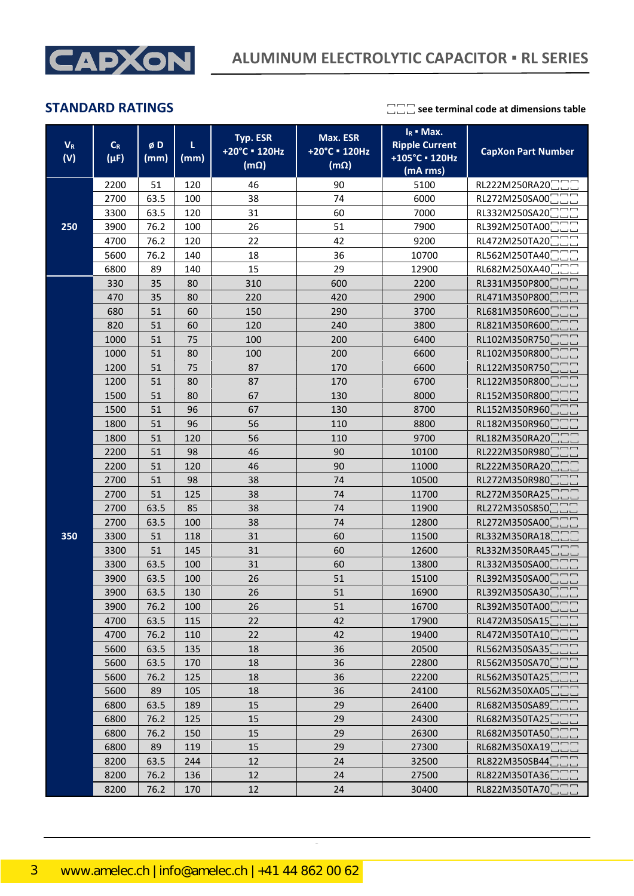

| $V_R$<br>(V) | $\mathsf{C}_{\mathsf{R}}$<br>$(\mu F)$ | øD<br>(mm) | τ<br>(mm) | Typ. ESR<br>+20°C = 120Hz<br>$(m\Omega)$ | Max. ESR<br>+20°C = 120Hz<br>$(m\Omega)$ | $I_R$ = Max.<br><b>Ripple Current</b><br>+105°C · 120Hz<br>(mA rms) | <b>CapXon Part Number</b> |
|--------------|----------------------------------------|------------|-----------|------------------------------------------|------------------------------------------|---------------------------------------------------------------------|---------------------------|
|              | 2200                                   | 51         | 120       | 46                                       | 90                                       | 5100                                                                | RL222M250RA20             |
|              | 2700                                   | 63.5       | 100       | 38                                       | 74                                       | 6000                                                                | RL272M250SA00             |
|              | 3300                                   | 63.5       | 120       | 31                                       | 60                                       | 7000                                                                | RL332M250SA20             |
| 250          | 3900                                   | 76.2       | 100       | 26                                       | 51                                       | 7900                                                                | RL392M250TA00             |
|              | 4700                                   | 76.2       | 120       | 22                                       | 42                                       | 9200                                                                | RL472M250TA20             |
|              | 5600                                   | 76.2       | 140       | 18                                       | 36                                       | 10700                                                               | RL562M250TA40             |
|              | 6800                                   | 89         | 140       | 15                                       | 29                                       | 12900                                                               | RL682M250XA40             |
|              | 330                                    | 35         | 80        | 310                                      | 600                                      | 2200                                                                | RL331M350P800             |
|              | 470                                    | 35         | 80        | 220                                      | 420                                      | 2900                                                                | RL471M350P800             |
|              | 680                                    | 51         | 60        | 150                                      | 290                                      | 3700                                                                | RL681M350R600             |
|              | 820                                    | 51         | 60        | 120                                      | 240                                      | 3800                                                                | RL821M350R600             |
|              | 1000                                   | 51         | 75        | 100                                      | 200                                      | 6400                                                                | RL102M350R750             |
|              | 1000                                   | 51         | 80        | 100                                      | 200                                      | 6600                                                                | RL102M350R800             |
|              | 1200                                   | 51         | 75        | 87                                       | 170                                      | 6600                                                                | RL122M350R750             |
|              | 1200                                   | 51         | 80        | 87                                       | 170                                      | 6700                                                                | RL122M350R800             |
|              | 1500                                   | 51         | 80        | 67                                       | 130                                      | 8000                                                                | RL152M350R800             |
|              | 1500                                   | 51         | 96        | 67                                       | 130                                      | 8700                                                                | RL152M350R960             |
|              | 1800                                   | 51         | 96        | 56                                       | 110                                      | 8800                                                                | RL182M350R960             |
|              | 1800                                   | 51         | 120       | 56                                       | 110                                      | 9700                                                                | RL182M350RA20             |
|              | 2200                                   | 51         | 98        | 46                                       | 90                                       | 10100                                                               | RL222M350R980             |
|              | 2200                                   | 51         | 120       | 46                                       | 90                                       | 11000                                                               | RL222M350RA20             |
|              | 2700                                   | 51         | 98        | 38                                       | 74                                       | 10500                                                               | RL272M350R980             |
|              | 2700                                   | 51         | 125       | 38                                       | 74                                       | 11700                                                               | RL272M350RA25             |
|              | 2700                                   | 63.5       | 85        | 38                                       | 74                                       | 11900                                                               | RL272M350S850             |
|              | 2700                                   | 63.5       | 100       | 38                                       | 74                                       | 12800                                                               | RL272M350SA00             |
| 350          | 3300                                   | 51         | 118       | 31                                       | 60                                       | 11500                                                               | RL332M350RA18             |
|              | 3300                                   | 51         | 145       | 31                                       | 60                                       | 12600                                                               | RL332M350RA45             |
|              | 3300                                   | 63.5       | 100       | 31                                       | 60                                       | 13800                                                               | RL332M350SA00             |
|              | 3900                                   | 63.5       | 100       | 26                                       | 51                                       | 15100                                                               | RL392M350SA00             |
|              | 3900                                   | 63.5       | 130       | 26                                       | 51                                       | 16900                                                               | RL392M350SA30             |
|              | 3900                                   | 76.2       | 100       | 26                                       | 51                                       | 16700                                                               | RL392M350TA00             |
|              | 4700                                   | 63.5       | 115       | 22                                       | 42                                       | 17900                                                               | RL472M350SA15             |
|              | 4700                                   | 76.2       | 110       | 22                                       | 42                                       | 19400                                                               | RL472M350TA10             |
|              | 5600                                   | 63.5       | 135       | 18                                       | 36                                       | 20500                                                               | RL562M350SA35             |
|              | 5600                                   | 63.5       | 170       | 18                                       | 36                                       | 22800                                                               | RL562M350SA70             |
|              | 5600                                   | 76.2       | 125       | 18                                       | 36                                       | 22200                                                               | RL562M350TA25             |
|              | 5600                                   | 89         | 105       | 18                                       | 36                                       | 24100                                                               | RL562M350XA05             |
|              | 6800                                   | 63.5       | 189       | 15                                       | 29                                       | 26400                                                               | RL682M350SA89             |
|              | 6800                                   | 76.2       | 125       | 15                                       | 29                                       | 24300                                                               | RL682M350TA25             |
|              | 6800                                   | 76.2       | 150       | 15                                       | 29                                       | 26300                                                               | RL682M350TA50             |
|              | 6800                                   | 89         | 119       | 15                                       | 29                                       | 27300                                                               | RL682M350XA19             |
|              | 8200                                   | 63.5       | 244       | 12                                       | 24                                       | 32500                                                               | RL822M350SB44             |
|              | 8200                                   | 76.2       | 136       | 12                                       | 24                                       | 27500                                                               | RL822M350TA36             |
|              | 8200                                   | 76.2       | 170       | 12                                       | 24                                       | 30400                                                               | RL822M350TA70             |

CapXon\_Ver. 002 – 09/09/2020 3 Document Number: RL series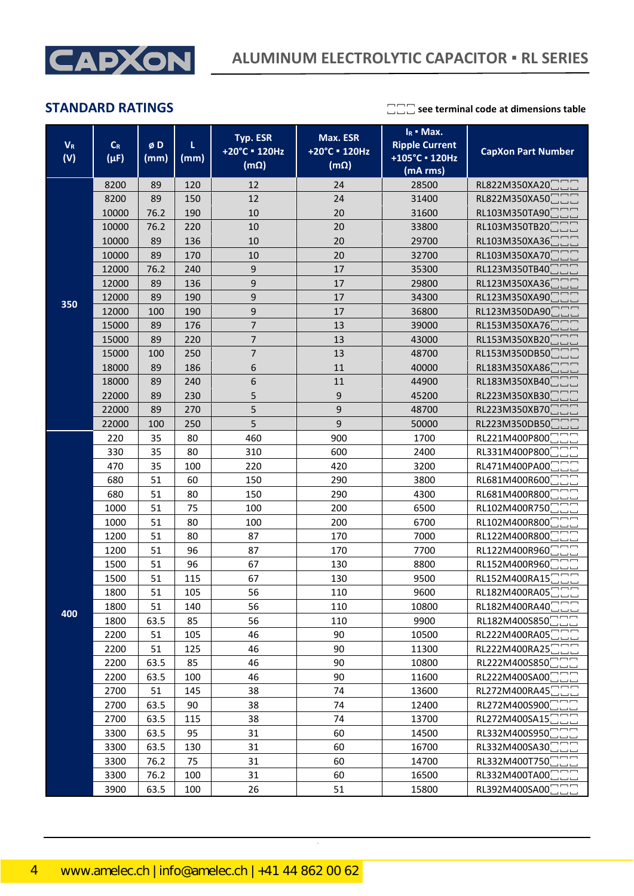

| $V_{R}$<br>(V) | $C_R$<br>$(\mu F)$ | øD<br>(mm) | L<br>(mm) | Typ. ESR<br>+20°C = 120Hz<br>$(m\Omega)$ | Max. ESR<br>+20°C = 120Hz<br>$(m\Omega)$ | $I_R$ = Max.<br><b>Ripple Current</b><br>+105°C · 120Hz<br>(mA rms) | <b>CapXon Part Number</b>      |  |
|----------------|--------------------|------------|-----------|------------------------------------------|------------------------------------------|---------------------------------------------------------------------|--------------------------------|--|
|                | 8200               | 89         | 120       | 12                                       | 24                                       | 28500                                                               | RL822M350XA20 <sup>-</sup>     |  |
|                | 8200               | 89         | 150       | 12                                       | 24                                       | 31400                                                               | RL822M350XA50                  |  |
|                | 10000              | 76.2       | 190       | 10                                       | 20                                       | 31600                                                               | RL103M350TA90                  |  |
|                | 10000              | 76.2       | 220       | 10                                       | 20                                       | 33800                                                               | RL103M350TB20                  |  |
|                | 10000              | 89         | 136       | 10                                       | 20                                       | 29700                                                               | RL103M350XA36                  |  |
|                | 10000              | 89         | 170       | 10                                       | 20                                       | 32700                                                               | RL103M350XA70                  |  |
|                | 12000              | 76.2       | 240       | 9                                        | 17                                       | 35300                                                               | RL123M350TB40                  |  |
|                | 12000              | 89         | 136       | 9                                        | 17                                       | 29800                                                               | RL123M350XA36                  |  |
|                | 12000              | 89         | 190       | 9                                        | 17                                       | 34300                                                               | RL123M350XA90                  |  |
| 350            | 12000              | 100        | 190       | 9                                        | 17                                       | 36800                                                               | RL123M350DA90                  |  |
|                | 15000              | 89         | 176       | $\overline{7}$                           | 13                                       | 39000                                                               | RL153M350XA76                  |  |
|                | 15000              | 89         | 220       | $\overline{7}$                           | 13                                       | 43000                                                               | RL153M350XB20                  |  |
|                | 15000              | 100        | 250       | $\overline{\mathcal{I}}$                 | 13                                       | 48700                                                               | RL153M350DB50                  |  |
|                | 18000              | 89         | 186       | 6                                        | 11                                       | 40000                                                               | RL183M350XA86                  |  |
|                | 18000              | 89         | 240       | 6                                        | 11                                       | 44900                                                               | RL183M350XB40                  |  |
|                | 22000              | 89         | 230       | 5                                        | 9                                        | 45200                                                               | RL223M350XB30                  |  |
|                | 22000              | 89         | 270       | 5                                        | 9                                        | 48700                                                               | RL223M350XB70                  |  |
|                | 22000<br>100       |            | 250       | 5<br>9                                   |                                          | 50000                                                               | RL223M350DB50                  |  |
|                | 220                | 35         | 80        | 460                                      | 900                                      | 1700                                                                | RL221M400P800                  |  |
|                | 330                | 35         | 80        | 310                                      | 600                                      | 2400                                                                | RL331M400P800                  |  |
|                | 470                | 35         | 100       | 220                                      | 420                                      | 3200                                                                | RL471M400PA00                  |  |
|                | 680                | 51         | 60        | 150                                      | 290                                      | 3800                                                                | RL681M400R600                  |  |
|                | 680                | 51         | 80        | 150                                      | 290                                      | 4300                                                                | RL681M400R800                  |  |
|                | 1000               | 51         | 75        | 100                                      | 200                                      | 6500                                                                | RL102M400R750                  |  |
|                | 1000               | 51         | 80        | 100                                      | 200                                      | 6700                                                                |                                |  |
|                |                    | 51         | 80        | 87                                       | 170                                      | 7000                                                                | RL102M400R800                  |  |
|                | 1200               |            | 96        |                                          |                                          |                                                                     | RL122M400R800<br>RL122M400R960 |  |
|                | 1200               | 51         |           | 87                                       | 170                                      | 7700                                                                |                                |  |
|                | 1500               | 51         | 96        | 67                                       | 130                                      | 8800                                                                | RL152M400R960                  |  |
|                | 1500               | 51         | 115       | 67                                       | 130                                      | 9500                                                                | RL152M400RA15                  |  |
|                | 1800               | 51         | 105       | 56                                       | 110                                      | 9600                                                                | RL182M400RA05                  |  |
| 400            | 1800               | 51         | 140       | 56                                       | 110                                      | 10800                                                               | RL182M400RA40                  |  |
|                | 1800               | 63.5       | 85        | 56                                       | 110                                      | 9900                                                                | RL182M400S850                  |  |
|                | 2200               | 51         | 105       | 46                                       | 90                                       | 10500                                                               | RL222M400RA05                  |  |
|                | 2200               | 51         | 125       | 46                                       | 90                                       | 11300                                                               | RL222M400RA25                  |  |
|                | 2200               | 63.5       | 85        | 46                                       | 90                                       | 10800                                                               | RL222M400S850                  |  |
|                | 2200               | 63.5       | 100       | 46                                       | 90                                       | 11600                                                               | RL222M400SA00                  |  |
|                | 2700               | 51         | 145       | 38                                       | 74                                       | 13600                                                               | RL272M400RA45                  |  |
|                | 2700               | 63.5       | 90        | 38                                       | 74                                       | 12400                                                               | RL272M400S900                  |  |
|                | 2700               | 63.5       | 115       | 38                                       | 74                                       | 13700                                                               | RL272M400SA15                  |  |
|                | 3300               | 63.5       | 95        | 31                                       | 60<br>14500                              |                                                                     | RL332M400S950                  |  |
|                | 3300               | 63.5       | 130       | 31                                       | 60                                       | 16700                                                               | RL332M400SA30                  |  |
|                | 3300               | 76.2       | 75        | 31                                       | 60                                       | 14700                                                               | RL332M400T750                  |  |
|                | 3300               | 76.2       | 100       | 31                                       | 60                                       | 16500                                                               | RL332M400TA00                  |  |
|                | 3900               | 63.5       | 100       | 26                                       | 51                                       | 15800                                                               | RL392M400SA00 <sup>-</sup>     |  |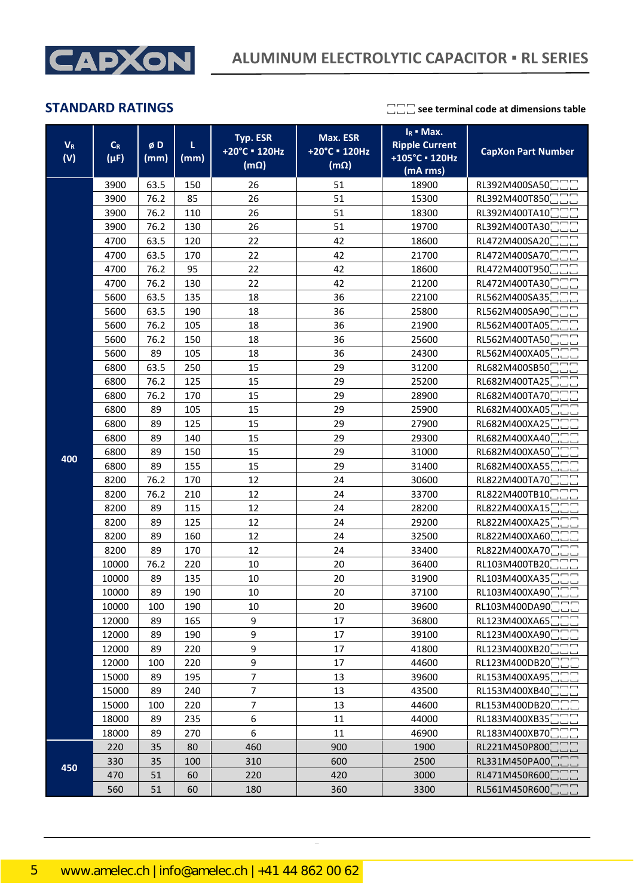

| $V_{R}$<br>(V) | $\mathsf{C}_{\mathsf{R}}$<br>$(\mu F)$ | øD<br>(mm) | L<br>(mm) | Typ. ESR<br>+20°C = 120Hz<br>$(m\Omega)$ | Max. ESR<br>+20°C = 120Hz<br>$(m\Omega)$ | $I_R$ • Max.<br><b>Ripple Current</b><br>+105°C · 120Hz<br>(mA rms) | <b>CapXon Part Number</b>  |
|----------------|----------------------------------------|------------|-----------|------------------------------------------|------------------------------------------|---------------------------------------------------------------------|----------------------------|
|                | 3900                                   | 63.5       | 150       | 26                                       | 51                                       | 18900                                                               | RL392M400SA50              |
|                | 3900                                   | 76.2       | 85        | 26                                       | 51                                       | 15300                                                               | RL392M400T850              |
|                | 3900                                   | 76.2       | 110       | 26                                       | 51                                       | 18300                                                               | RL392M400TA10              |
|                | 3900                                   | 76.2       | 130       | 26                                       | 51                                       | 19700                                                               | RL392M400TA30              |
|                | 4700                                   | 63.5       | 120       | 22                                       | 42                                       | 18600                                                               | RL472M400SA20              |
|                | 4700                                   | 63.5       | 170       | 22                                       | 42                                       | 21700                                                               | RL472M400SA70              |
|                | 4700                                   | 76.2       | 95        | 22                                       | 42                                       | 18600                                                               | RL472M400T950              |
|                | 4700                                   | 76.2       | 130       | 22                                       | 42                                       | 21200                                                               | RL472M400TA30              |
|                | 5600                                   | 63.5       | 135       | 18                                       | 36                                       | 22100                                                               | RL562M400SA35              |
|                | 5600                                   | 63.5       | 190       | 18                                       | 36                                       | 25800                                                               | RL562M400SA90              |
|                | 5600                                   | 76.2       | 105       | 18                                       | 36                                       | 21900                                                               | RL562M400TA05              |
|                | 5600                                   | 76.2       | 150       | 18                                       | 36                                       | 25600                                                               | RL562M400TA50              |
|                | 5600                                   | 89         | 105       | 18                                       | 36                                       | 24300                                                               | RL562M400XA05              |
|                | 6800                                   | 63.5       | 250       | 15                                       | 29                                       | 31200                                                               | RL682M400SB50              |
|                | 6800                                   | 76.2       | 125       | 15                                       | 29                                       | 25200                                                               | RL682M400TA25              |
|                | 6800                                   | 76.2       | 170       | 15                                       | 29                                       | 28900                                                               | RL682M400TA70              |
|                | 6800                                   | 89         | 105       | 15                                       | 29                                       | 25900                                                               | RL682M400XA05              |
|                | 6800                                   | 89         | 125       | 15                                       | 29                                       | 27900                                                               | RL682M400XA25              |
|                | 6800                                   | 89         | 140       | 15                                       | 29                                       | 29300                                                               | RL682M400XA40              |
| 400            | 6800                                   | 89         | 150       | 15                                       | 29                                       | 31000                                                               | RL682M400XA50              |
|                | 6800                                   | 89         | 155       | 15                                       | 29                                       | 31400                                                               | RL682M400XA55              |
|                | 8200                                   | 76.2       | 170       | 12                                       | 24                                       | 30600                                                               | RL822M400TA70              |
|                | 8200                                   | 76.2       | 210       | 12                                       | 24                                       | 33700                                                               | RL822M400TB10              |
|                | 8200                                   | 89         | 115       | 12                                       | 24                                       | 28200                                                               | RL822M400XA15              |
|                | 8200                                   | 89         | 125       | 12                                       | 24                                       | 29200                                                               | RL822M400XA25              |
|                | 8200                                   | 89         | 160       | 12                                       | 24                                       | 32500                                                               | RL822M400XA60              |
|                | 8200                                   | 89         | 170       | 12                                       | 24                                       | 33400                                                               | RL822M400XA70              |
|                | 10000                                  | 76.2       | 220       | $10\,$                                   | 20                                       | 36400                                                               | RL103M400TB20              |
|                | 10000                                  | 89         | 135       | 10                                       | 20                                       | 31900                                                               | RL103M400XA35              |
|                | 10000                                  | 89         | 190       | 10                                       | 20                                       | 37100                                                               | RL103M400XA90              |
|                | 10000                                  | 100        | 190       | 10                                       | 20                                       | 39600                                                               | RL103M400DA90              |
|                | 12000                                  | 89         | 165       | 9                                        | 17                                       | 36800                                                               | RL123M400XA65              |
|                | 12000                                  | 89         | 190       | 9                                        | 17                                       | 39100                                                               | RL123M400XA90              |
|                | 12000                                  | 89         | 220       | 9                                        | 17                                       | 41800                                                               | RL123M400XB20              |
|                | 12000                                  | 100        | 220       | 9                                        | 17                                       | 44600                                                               | RL123M400DB20              |
|                | 15000                                  | 89         | 195       | 7                                        | 13                                       | 39600                                                               | RL153M400XA95              |
|                | 15000                                  | 89         | 240       | 7                                        | 13                                       | 43500                                                               | RL153M400XB40              |
|                | 15000                                  | 100        | 220       | $\overline{7}$                           | 13                                       | 44600                                                               | RL153M400DB20              |
|                | 18000                                  | 89         | 235       | 6                                        | 11                                       | 44000                                                               | RL183M400XB35              |
|                | 18000                                  | 89         | 270       | 6                                        | 11                                       | 46900                                                               | RL183M400XB70              |
|                | 220                                    | 35         | 80        | 460                                      | 900                                      | 1900                                                                | RL221M450P800              |
| 450            | 330                                    | 35         | 100       | 310                                      | 600                                      | 2500                                                                | RL331M450PA00              |
|                | 470                                    | 51         | 60        | 220                                      | 420                                      | 3000                                                                | RL471M450R600              |
|                | 560                                    | 51         | 60        | 180                                      | 360                                      | 3300                                                                | RL561M450R600 <sup>-</sup> |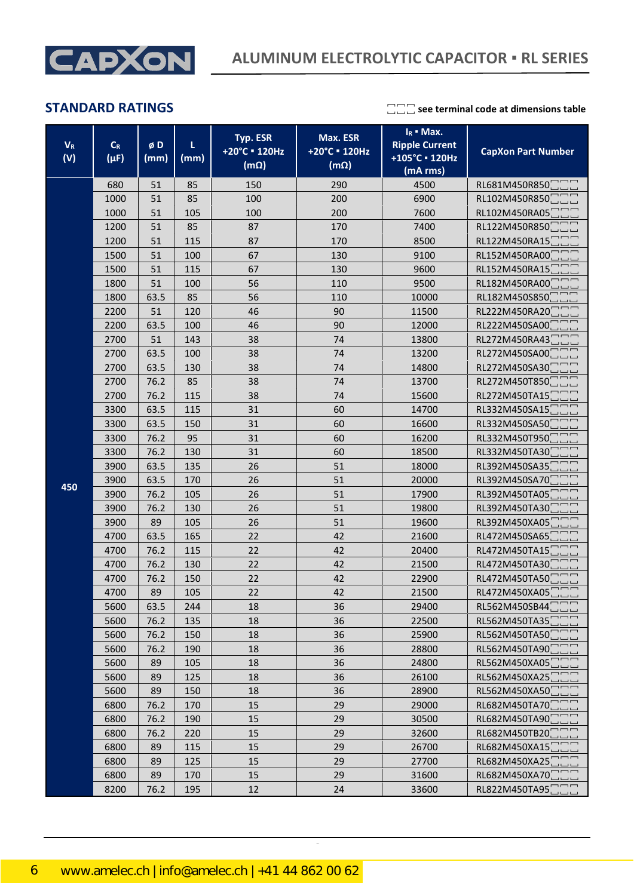

| $V_{R}$<br>(V) | $\mathsf{C}_{\mathsf{R}}$<br>$(\mu F)$ | øD<br>(mm) | τ<br>(mm) | Typ. ESR<br>+20°C = 120Hz<br>$(m\Omega)$ | Max. ESR<br>+20°C = 120Hz<br>$(m\Omega)$ | $I_R$ = Max.<br><b>Ripple Current</b><br>+105°C · 120Hz<br>(mA rms) | <b>CapXon Part Number</b> |
|----------------|----------------------------------------|------------|-----------|------------------------------------------|------------------------------------------|---------------------------------------------------------------------|---------------------------|
|                | 680                                    | 51         | 85        | 150                                      | 290                                      | 4500                                                                | RL681M450R850             |
|                | 1000                                   | 51         | 85        | 100                                      | 200                                      | 6900                                                                | RL102M450R850             |
|                | 1000                                   | 51         | 105       | 100                                      | 200                                      | 7600                                                                | RL102M450RA05             |
|                | 1200                                   | 51         | 85        | 87                                       | 170                                      | 7400                                                                | RL122M450R850             |
|                | 1200                                   | 51         | 115       | 87                                       | 170                                      | 8500                                                                | RL122M450RA15             |
|                | 1500                                   | 51         | 100       | 67                                       | 130                                      | 9100                                                                | RL152M450RA00             |
|                | 1500                                   | 51         | 115       | 67                                       | 130                                      | 9600                                                                | RL152M450RA15             |
|                | 1800                                   | 51         | 100       | 56                                       | 110                                      | 9500                                                                | RL182M450RA00             |
|                | 1800                                   | 63.5       | 85        | 56                                       | 110                                      | 10000                                                               | RL182M450S850             |
|                | 2200                                   | 51         | 120       | 46                                       | 90                                       | 11500                                                               | RL222M450RA20             |
|                | 2200                                   | 63.5       | 100       | 46                                       | 90                                       | 12000                                                               | RL222M450SA00             |
|                | 2700                                   | 51         | 143       | 38                                       | 74                                       | 13800                                                               | RL272M450RA43             |
|                | 2700                                   | 63.5       | 100       | 38                                       | 74                                       | 13200                                                               | RL272M450SA00             |
|                | 2700                                   | 63.5       | 130       | 38                                       | 74                                       | 14800                                                               | RL272M450SA30             |
|                | 2700                                   | 76.2       | 85        | 38                                       | 74                                       | 13700                                                               | RL272M450T850             |
|                | 2700                                   | 76.2       | 115       | 38                                       | 74                                       | 15600                                                               | RL272M450TA15             |
|                | 3300                                   | 63.5       | 115       | 31                                       | 60                                       | 14700                                                               | RL332M450SA15             |
|                | 3300                                   | 63.5       | 150       | 31                                       | 60                                       | 16600                                                               | RL332M450SA50             |
|                | 3300                                   | 76.2       | 95        | 31                                       | 60                                       | 16200                                                               | RL332M450T950             |
|                | 3300                                   | 76.2       | 130       | 31                                       | 60                                       | 18500                                                               | RL332M450TA30             |
|                | 3900                                   | 63.5       | 135       | 26                                       | 51                                       | 18000                                                               | RL392M450SA35             |
| 450            | 3900                                   | 63.5       | 170       | 26                                       | 51                                       | 20000                                                               | RL392M450SA70             |
|                | 3900                                   | 76.2       | 105       | 26                                       | 51                                       | 17900                                                               | RL392M450TA05             |
|                | 3900                                   | 76.2       | 130       | 26                                       | 51                                       | 19800                                                               | RL392M450TA30             |
|                | 3900                                   | 89         | 105       | 26                                       | 51                                       | 19600                                                               | RL392M450XA05             |
|                | 4700                                   | 63.5       | 165       | 22                                       | 42                                       | 21600                                                               | RL472M450SA65             |
|                | 4700                                   | 76.2       | 115       | 22                                       | 42                                       | 20400                                                               | RL472M450TA15             |
|                | 4700                                   | 76.2       | 130       | 22                                       | 42                                       | 21500                                                               | RL472M450TA30             |
|                | 4700                                   | 76.2       | 150       | 22                                       | 42                                       | 22900                                                               | RL472M450TA50             |
|                | 4700                                   | 89         | 105       | 22                                       | 42                                       | 21500                                                               | RL472M450XA05             |
|                | 5600                                   | 63.5       | 244       | 18                                       | 36                                       | 29400                                                               | RL562M450SB44             |
|                | 5600                                   | 76.2       | 135       | 18                                       | 36                                       | 22500                                                               | RL562M450TA35             |
|                | 5600                                   | 76.2       | 150       | 18                                       | 36                                       | 25900                                                               | RL562M450TA50             |
|                | 5600                                   | 76.2       | 190       | 18                                       | 36                                       | 28800                                                               | RL562M450TA90             |
|                | 5600                                   | 89         | 105       | 18                                       | 36                                       | 24800                                                               | RL562M450XA05             |
|                | 5600                                   | 89         | 125       | 18                                       | 36                                       | 26100                                                               | RL562M450XA25             |
|                | 5600                                   | 89         | 150       | 18                                       | 36                                       | 28900                                                               | RL562M450XA50             |
|                | 6800                                   | 76.2       | 170       | 15                                       | 29                                       | 29000                                                               | RL682M450TA70             |
|                | 6800                                   | 76.2       | 190       | 15                                       | 29                                       | 30500                                                               | RL682M450TA90             |
|                | 6800                                   | 76.2       | 220       | 15                                       | 29                                       | 32600                                                               | RL682M450TB20             |
|                | 6800                                   | 89         | 115       | 15                                       | 29                                       | 26700                                                               | RL682M450XA15             |
|                | 6800                                   | 89         | 125       | 15<br>29                                 |                                          | 27700                                                               | RL682M450XA25             |
|                | 6800                                   | 89         | 170       | 15                                       | 29                                       | 31600                                                               | RL682M450XA70             |
|                | 8200                                   | 76.2       | 195       | 12                                       | 24                                       | 33600                                                               | RL822M450TA95□□□          |

CapXon\_Ver. 002 – 09/09/2020 6 Document Number: RL series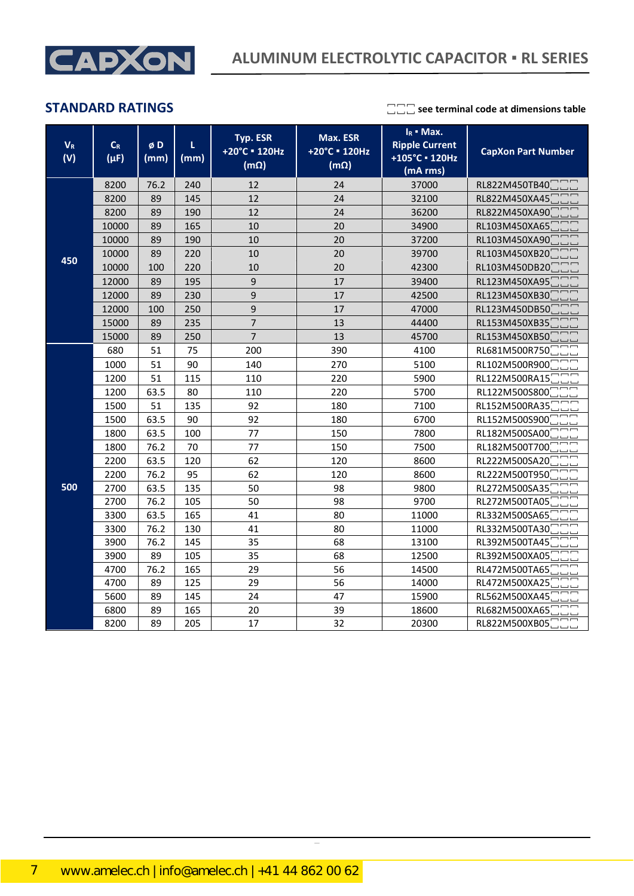

| $\mathbf{V}_\text{R}$<br>(V) | $\mathsf{C}_{\mathsf{R}}$<br>$(\mu F)$ | øD<br>(mm) | L.<br>(mm) | Typ. ESR<br>+20°C = 120Hz<br>$(m\Omega)$ | Max. ESR<br>+20°C = 120Hz<br>$\overline{(m\Omega)}$ | $I_R$ • Max.<br><b>Ripple Current</b><br>+105°C · 120Hz<br>(mA rms) | <b>CapXon Part Number</b> |
|------------------------------|----------------------------------------|------------|------------|------------------------------------------|-----------------------------------------------------|---------------------------------------------------------------------|---------------------------|
|                              | 8200                                   | 76.2       | 240        | 12                                       | 24                                                  | 37000                                                               | RL822M450TB40             |
|                              | 8200                                   | 89         | 145        | 12                                       | 24                                                  | 32100                                                               | RL822M450XA45             |
|                              | 8200                                   | 89         | 190        | 12                                       | 24                                                  | 36200                                                               | RL822M450XA90             |
|                              | 10000                                  | 89         | 165        | 10                                       | 20                                                  | 34900                                                               | RL103M450XA65             |
|                              | 10000                                  | 89         | 190        | 10                                       | 20                                                  | 37200                                                               | RL103M450XA90             |
| 450                          | 10000                                  | 89         | 220        | 10                                       | 20                                                  | 39700                                                               | RL103M450XB20             |
|                              | 10000                                  | 100        | 220        | 10                                       | 20                                                  | 42300                                                               | RL103M450DB20             |
|                              | 12000                                  | 89         | 195        | 9                                        | 17                                                  | 39400                                                               | RL123M450XA95             |
|                              | 12000                                  | 89         | 230        | 9                                        | 17                                                  | 42500                                                               | RL123M450XB30             |
|                              | 12000                                  | 100        | 250        | 9                                        | 17                                                  | 47000                                                               | RL123M450DB50             |
|                              | 15000                                  | 89         | 235        | $\overline{7}$                           | 13                                                  | 44400                                                               | RL153M450XB35             |
|                              | 15000                                  | 89         | 250        | $\overline{7}$                           | 13                                                  | 45700                                                               | RL153M450XB50             |
|                              | 680                                    | 51         | 75         | 200                                      | 390                                                 | 4100                                                                | RL681M500R750             |
|                              | 1000                                   | 51         | 90         | 140                                      | 270                                                 | 5100                                                                | RL102M500R900             |
|                              | 1200                                   | 51         | 115        | 110                                      | 220                                                 | 5900                                                                | RL122M500RA15             |
|                              | 1200                                   | 63.5       | 80         | 110                                      | 220                                                 | 5700                                                                | RL122M500S800             |
|                              | 1500                                   | 51         | 135        | 92                                       | 180                                                 | 7100                                                                | RL152M500RA35             |
|                              | 1500                                   | 63.5       | 90         | 92                                       | 180                                                 | 6700                                                                | RL152M500S900             |
|                              | 1800                                   | 63.5       | 100        | 77                                       | 150                                                 | 7800                                                                | RL182M500SA00             |
|                              | 1800                                   | 76.2       | 70         | 77                                       | 150                                                 | 7500                                                                | RL182M500T700             |
|                              | 2200                                   | 63.5       | 120        | 62                                       | 120                                                 | 8600                                                                | RL222M500SA20             |
|                              | 2200                                   | 76.2       | 95         | 62                                       | 120                                                 | 8600                                                                | RL222M500T950             |
| 500                          | 2700                                   | 63.5       | 135        | 50                                       | 98                                                  | 9800                                                                | RL272M500SA35             |
|                              | 2700                                   | 76.2       | 105        | 50                                       | 98                                                  | 9700                                                                | RL272M500TA05             |
|                              | 3300                                   | 63.5       | 165        | 41                                       | 80                                                  | 11000                                                               | RL332M500SA65             |
|                              | 3300                                   | 76.2       | 130        | 41                                       | 80                                                  | 11000                                                               | RL332M500TA30             |
|                              | 3900                                   | 76.2       | 145        | 35                                       | 68                                                  | 13100                                                               | RL392M500TA45             |
|                              | 3900                                   | 89         | 105        | 35                                       | 68                                                  | 12500                                                               | RL392M500XA05             |
|                              | 4700                                   | 76.2       | 165        | 29                                       | 56                                                  | 14500                                                               | RL472M500TA65             |
|                              | 4700<br>89<br>125<br>29                |            | 56         | 14000                                    | RL472M500XA25                                       |                                                                     |                           |
|                              | 5600                                   | 89         | 145        | 24                                       | 47                                                  | 15900                                                               | RL562M500XA45             |
|                              | 6800                                   | 89         | 165        | 20                                       | 39                                                  | 18600                                                               | RL682M500XA65             |
|                              | 8200                                   | 89         | 205        | 17                                       | 32                                                  | 20300                                                               | RL822M500XB05             |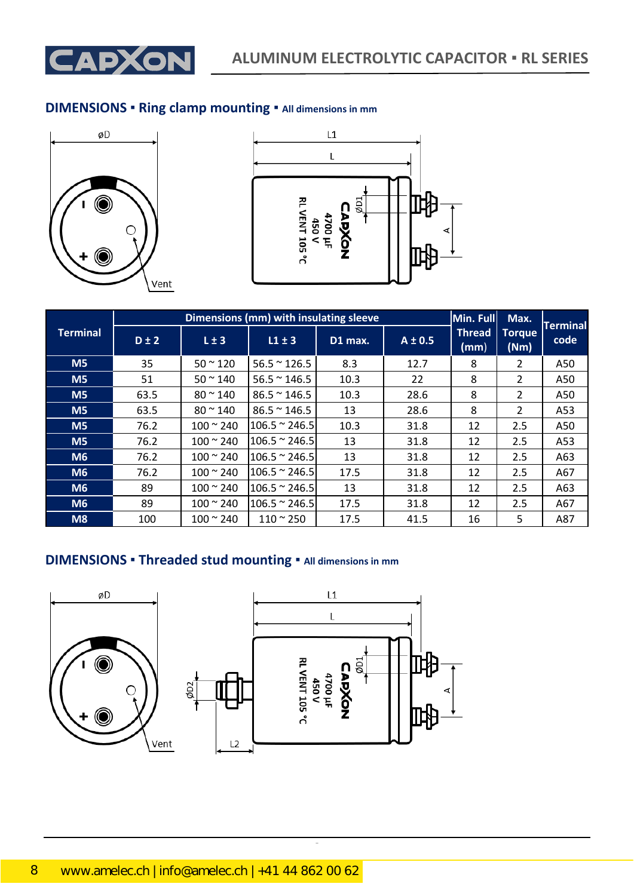

### **DIMENSIONS ▪ Ring clamp mounting ▪ All dimensions in mm**





|                 |           | Dimensions (mm) with insulating sleeve |                       | Min. Full | Max.        | <b>Terminal</b>       |                       |      |
|-----------------|-----------|----------------------------------------|-----------------------|-----------|-------------|-----------------------|-----------------------|------|
| <b>Terminal</b> | $D \pm 2$ | $L \pm 3$                              | $L1 \pm 3$            | D1 max.   | $A \pm 0.5$ | <b>Thread</b><br>(mm) | <b>Torque</b><br>(Nm) | code |
| M <sub>5</sub>  | 35        | $50 - 120$                             | $56.5 \approx 126.5$  | 8.3       | 12.7        | 8                     | 2                     | A50  |
| M <sub>5</sub>  | 51        | $50 - 140$                             | $56.5 \approx 146.5$  | 10.3      | 22          | 8                     | $\overline{2}$        | A50  |
| M <sub>5</sub>  | 63.5      | $80 - 140$                             | $86.5 \approx 146.5$  | 10.3      | 28.6        | 8                     | $\overline{2}$        | A50  |
| M <sub>5</sub>  | 63.5      | $80 \approx 140$                       | $86.5 \approx 146.5$  | 13        | 28.6        | 8                     | $\mathcal{L}$         | A53  |
| M <sub>5</sub>  | 76.2      | $100 \approx 240$                      | $106.5 \approx 246.5$ | 10.3      | 31.8        | 12                    | 2.5                   | A50  |
| M <sub>5</sub>  | 76.2      | $100 - 240$                            | $106.5 \approx 246.5$ | 13        | 31.8        | 12                    | 2.5                   | A53  |
| M6              | 76.2      | $100 \approx 240$                      | $106.5 \approx 246.5$ | 13        | 31.8        | 12                    | 2.5                   | A63  |
| M6              | 76.2      | $100 - 240$                            | $106.5 \approx 246.5$ | 17.5      | 31.8        | 12                    | 2.5                   | A67  |
| M <sub>6</sub>  | 89        | $100 \approx 240$                      | $106.5 \approx 246.5$ | 13        | 31.8        | 12                    | 2.5                   | A63  |
| M <sub>6</sub>  | 89        | $100 - 240$                            | $106.5 \approx 246.5$ | 17.5      | 31.8        | 12                    | 2.5                   | A67  |
| M8              | 100       | $100 \approx 240$                      | $110 - 250$           | 17.5      | 41.5        | 16                    | 5                     | A87  |

## **DIMENSIONS ▪ Threaded stud mounting ▪ All dimensions in mm**





CapXon\_Ver. 002 – 09/09/2020 8 Document Number: RL series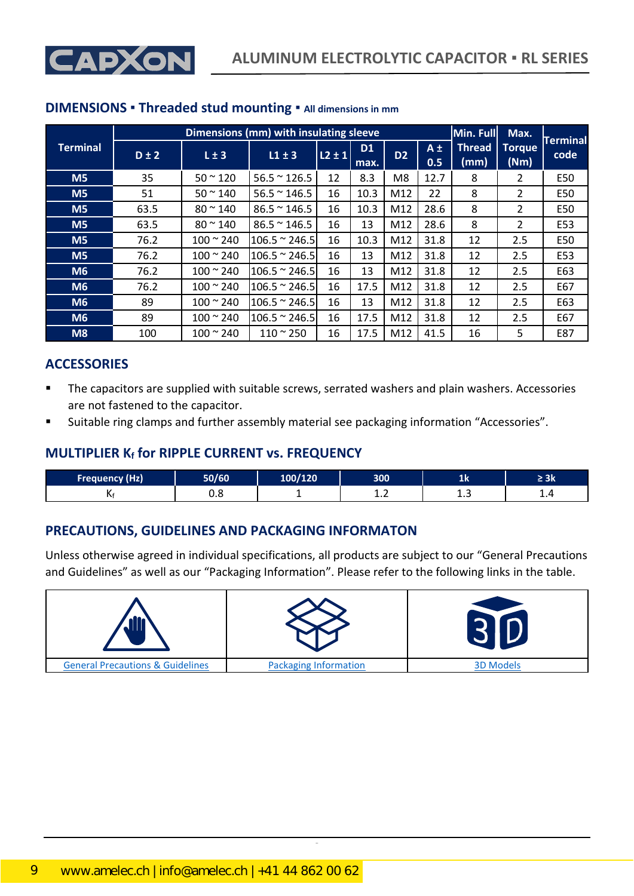



|                 |           |                        | Dimensions (mm) with insulating sleeve |              |                   |                |                | Min. Full             | Max.                  | <b>Terminal</b> |
|-----------------|-----------|------------------------|----------------------------------------|--------------|-------------------|----------------|----------------|-----------------------|-----------------------|-----------------|
| <b>Terminal</b> | $D \pm 2$ | $L \pm 3$              | $L1 \pm 3$                             | $ L2 \pm 1 $ | <b>D1</b><br>max. | D <sub>2</sub> | $A \pm$<br>0.5 | <b>Thread</b><br>(mm) | <b>Torque</b><br>(Nm) | code            |
| M <sub>5</sub>  | 35        | $50 - 120$             | $56.5 \approx 126.5$                   | 12           | 8.3               | M8             | 12.7           | 8                     | 2                     | E50             |
| M <sub>5</sub>  | 51        | $50 - 140$             | $56.5 \approx 146.5$                   | 16           | 10.3              | M12            | 22             | 8                     | $\mathcal{P}$         | E50             |
| M <sub>5</sub>  | 63.5      | $80 \, \degree \, 140$ | $86.5 \approx 146.5$                   | 16           | 10.3              | M12            | 28.6           | 8                     | $\mathcal{P}$         | E50             |
| M <sub>5</sub>  | 63.5      | $80 \approx 140$       | $86.5 \approx 146.5$                   | 16           | 13                | M12            | 28.6           | 8                     | $\overline{2}$        | E53             |
| M <sub>5</sub>  | 76.2      | $100 - 240$            | $106.5 \approx 246.5$                  | 16           | 10.3              | M12            | 31.8           | 12                    | 2.5                   | E50             |
| M <sub>5</sub>  | 76.2      | $100 - 240$            | $106.5 \approx 246.5$                  | 16           | 13                | M12            | 31.8           | 12                    | 2.5                   | E53             |
| M <sub>6</sub>  | 76.2      | $100 \approx 240$      | $106.5 \approx 246.5$                  | 16           | 13                | M12            | 31.8           | 12                    | 2.5                   | E63             |
| M <sub>6</sub>  | 76.2      | $100 \approx 240$      | $106.5 \approx 246.5$                  | 16           | 17.5              | M12            | 31.8           | 12                    | 2.5                   | E67             |
| M6              | 89        | $100 \approx 240$      | $106.5 \approx 246.5$                  | 16           | 13                | M12            | 31.8           | 12                    | 2.5                   | E63             |
| M <sub>6</sub>  | 89        | $100 - 240$            | $106.5 \approx 246.5$                  | 16           | 17.5              | M12            | 31.8           | 12                    | 2.5                   | E67             |
| M8              | 100       | $100 - 240$            | $110 - 250$                            | 16           | 17.5              | M12            | 41.5           | 16                    | 5                     | E87             |

### **DIMENSIONS ▪ Threaded stud mounting ▪ All dimensions in mm**

### **ACCESSORIES**

- The capacitors are supplied with suitable screws, serrated washers and plain washers. Accessories are not fastened to the capacitor.
- Suitable ring clamps and further assembly material see packaging information "Accessories".

### **MULTIPLIER K<sup>f</sup> for RIPPLE CURRENT vs. FREQUENCY**

| <b>Frequency (Hz)</b> | 50/60 | LOO/120 | 300        | щv | ≤ JN |
|-----------------------|-------|---------|------------|----|------|
| Nt                    | ບ.ບ   |         | . <u>.</u> | .  | ---  |

### **PRECAUTIONS, GUIDELINES AND PACKAGING INFORMATON**

Unless otherwise agreed in individual specifications, all products are subject to our "General Precautions and Guidelines" as well as our "Packaging Information". Please refer to the following links in the table.

| ، وق                                        |                              |                  |
|---------------------------------------------|------------------------------|------------------|
| <b>General Precautions &amp; Guidelines</b> | <b>Packaging Information</b> | <b>3D Models</b> |

CapXon\_Ver. 002 – 09/09/2020 9 Document Number: RL series